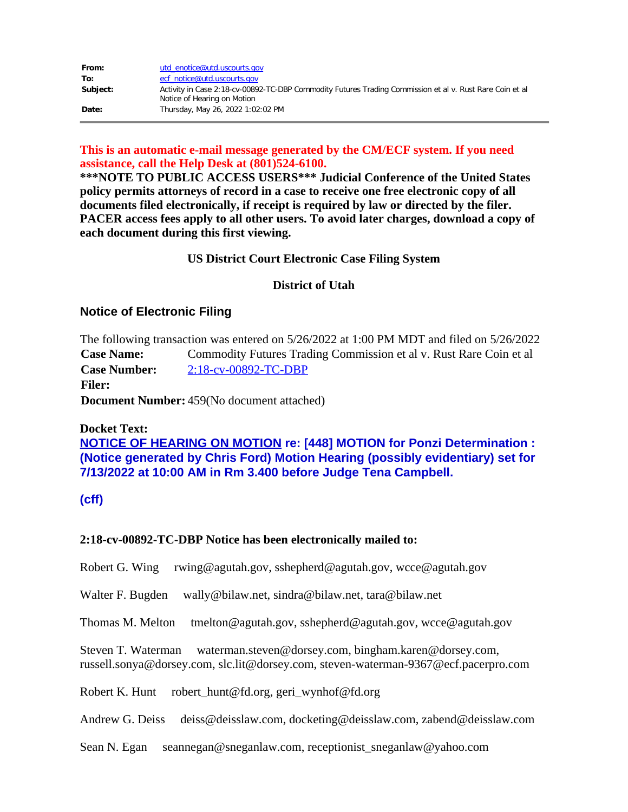| From:    | utd enotice@utd.uscourts.gov                                                                                                            |
|----------|-----------------------------------------------------------------------------------------------------------------------------------------|
| To:      | ecf notice@utd.uscourts.gov                                                                                                             |
| Subiect: | Activity in Case 2:18-cv-00892-TC-DBP Commodity Futures Trading Commission et al v. Rust Rare Coin et al<br>Notice of Hearing on Motion |
| Date:    | Thursday, May 26, 2022 1:02:02 PM                                                                                                       |

## **This is an automatic e-mail message generated by the CM/ECF system. If you need assistance, call the Help Desk at (801)524-6100.**

**\*\*\*NOTE TO PUBLIC ACCESS USERS\*\*\* Judicial Conference of the United States policy permits attorneys of record in a case to receive one free electronic copy of all documents filed electronically, if receipt is required by law or directed by the filer. PACER access fees apply to all other users. To avoid later charges, download a copy of each document during this first viewing.**

# **US District Court Electronic Case Filing System**

# **District of Utah**

# **Notice of Electronic Filing**

The following transaction was entered on 5/26/2022 at 1:00 PM MDT and filed on 5/26/2022 **Case Name:** Commodity Futures Trading Commission et al v. Rust Rare Coin et al **Case Number:** [2:18-cv-00892-TC-DBP](https://protect-us.mimecast.com/s/rciPCOY27Xip50D9CE2lml?domain=ecf.utd.uscourts.gov) **Filer: Document Number:** 459(No document attached)

### **Docket Text:**

**NOTICE OF HEARING ON MOTION re: [448] MOTION for Ponzi Determination : (Notice generated by Chris Ford) Motion Hearing (possibly evidentiary) set for 7/13/2022 at 10:00 AM in Rm 3.400 before Judge Tena Campbell.**

### **(cff)**

### **2:18-cv-00892-TC-DBP Notice has been electronically mailed to:**

Robert G. Wing rwing@agutah.gov, sshepherd@agutah.gov, wcce@agutah.gov

Walter F. Bugden wally@bilaw.net, sindra@bilaw.net, tara@bilaw.net

Thomas M. Melton tmelton@agutah.gov, sshepherd@agutah.gov, wcce@agutah.gov

Steven T. Waterman waterman.steven@dorsey.com, bingham.karen@dorsey.com, russell.sonya@dorsey.com, slc.lit@dorsey.com, steven-waterman-9367@ecf.pacerpro.com

Robert K. Hunt robert\_hunt@fd.org, geri\_wynhof@fd.org

Andrew G. Deiss deiss@deisslaw.com, docketing@deisslaw.com, zabend@deisslaw.com

Sean N. Egan seannegan@sneganlaw.com, receptionist\_sneganlaw@yahoo.com